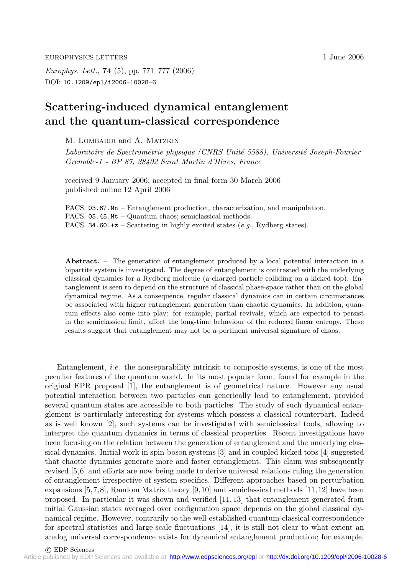*Europhys. Lett.*, **74** (5), pp. 771–777 (2006) DOI: 10.1209/epl/i2006-10028-6

## **Scattering-induced dynamical entanglement and the quantum-classical correspondence**

M. LOMBARDI and A. MATZKIN

*Laboratoire de Spectrom´etrie physique (CNRS Unit´e 5588), Universit´e Joseph-Fourier Grenoble-1 - BP 87, 38402 Saint Martin d'H`eres, France*

received 9 January 2006; accepted in final form 30 March 2006 published online 12 April 2006

PACS. 03.67.Mn – Entanglement production, characterization, and manipulation. PACS. 05.45.Mt – Quantum chaos; semiclassical methods. PACS. 34.60. $+z$  – Scattering in highly excited states (*e.g.*, Rydberg states).

**Abstract.** – The generation of entanglement produced bya local potential interaction in a bipartite system is investigated. The degree of entanglement is contrasted with the underlying classical dynamics for a Rydberg molecule (a charged particle colliding on a kicked top). Entanglement is seen to depend on the structure of classical phase-space rather than on the global dynamical regime. As a consequence, regular classical dynamics can in certain circumstances be associated with higher entanglement generation than chaotic dynamics. In addition, quantum effects also come into play: for example, partial revivals, which are expected to persist in the semiclassical limit, affect the long-time behaviour of the reduced linear entropy. These results suggest that entanglement maynot be a pertinent universal signature of chaos.

Entanglement, *i.e.* the nonseparability intrinsic to composite systems, is one of the most peculiar features of the quantum world. In its most popular form, found for example in the original EPR proposal [1], the entanglement is of geometrical nature. However any usual potential interaction between two particles can generically lead to entanglement, provided several quantum states are accessible to both particles. The study of such dynamical entanglement is particularly interesting for systems which possess a classical counterpart. Indeed as is well known [2], such systems can be investigated with semiclassical tools, allowing to interpret the quantum dynamics in terms of classical properties. Recent investigations have been focusing on the relation between the generation of entanglement and the underlying classical dynamics. Initial work in spin-boson systems [3] and in coupled kicked tops [4] suggested that chaotic dynamics generate more and faster entanglement. This claim was subsequently revised [5,6] and efforts are now being made to derive universal relations ruling the generation of entanglement irrespective of system specifics. Different approaches based on perturbation expansions  $[5,7,8]$ , Random Matrix theory  $[9,10]$  and semiclassical methods  $[11,12]$  have been proposed. In particular it was shown and verified [11, 13] that entanglement generated from initial Gaussian states averaged over configuration space depends on the global classical dynamical regime. However, contrarily to the well-established quantum-classical correspondence for spectral statistics and large-scale fluctuations [14], it is still not clear to what extent an analog universal correspondence exists for dynamical entanglement production; for example,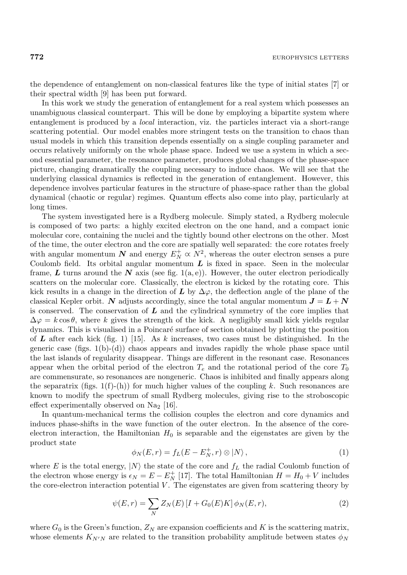the dependence of entanglement on non-classical features like the type of initial states [7] or their spectral width [9] has been put forward.

In this work we study the generation of entanglement for a real system which possesses an unambiguous classical counterpart. This will be done by employing a bipartite system where entanglement is produced by a *local* interaction, viz. the particles interact via a short-range scattering potential. Our model enables more stringent tests on the transition to chaos than usual models in which this transition depends essentially on a single coupling parameter and occurs relatively uniformly on the whole phase space. Indeed we use a system in which a second essential parameter, the resonance parameter, produces global changes of the phase-space picture, changing dramatically the coupling necessary to induce chaos. We will see that the underlying classical dynamics is reflected in the generation of entanglement. However, this dependence involves particular features in the structure of phase-space rather than the global dynamical (chaotic or regular) regimes. Quantum effects also come into play, particularly at long times.

The system investigated here is a Rydberg molecule. Simply stated, a Rydberg molecule is composed of two parts: a highly excited electron on the one hand, and a compact ionic molecular core, containing the nuclei and the tightly bound other electrons on the other. Most of the time, the outer electron and the core are spatially well separated: the core rotates freely with angular momentum  $N$  and energy  $E_N^+ \propto N^2$ , whereas the outer electron senses a pure Coulomb field. Its orbital angular momentum *L* is fixed in space. Seen in the molecular frame,  $\boldsymbol{L}$  turns around the  $\boldsymbol{N}$  axis (see fig. 1(a, e)). However, the outer electron periodically scatters on the molecular core. Classically, the electron is kicked by the rotating core. This kick results in a change in the direction of  $L$  by  $\Delta\varphi$ , the deflection angle of the plane of the classical Kepler orbit. *N* adjusts accordingly, since the total angular momentum  $J = L + N$ is conserved. The conservation of *L* and the cylindrical symmetry of the core implies that  $\Delta \varphi = k \cos \theta$ , where k gives the strength of the kick. A negligibly small kick yields regular dynamics. This is visualised in a Poincaré surface of section obtained by plotting the position of *L* after each kick (fig. 1) [15]. As k increases, two cases must be distinguished. In the generic case  $(figs. 1(b)-(d))$  chaos appears and invades rapidly the whole phase space until the last islands of regularity disappear. Things are different in the resonant case. Resonances appear when the orbital period of the electron  $T_e$  and the rotational period of the core  $T_0$ are commensurate, so resonances are nongeneric. Chaos is inhibited and finally appears along the separatrix (figs.  $1(f)-(h)$ ) for much higher values of the coupling k. Such resonances are known to modify the spectrum of small Rydberg molecules, giving rise to the stroboscopic effect experimentally observed on  $\text{Na}_2$  [16].

In quantum-mechanical terms the collision couples the electron and core dynamics and induces phase-shifts in the wave function of the outer electron. In the absence of the coreelectron interaction, the Hamiltonian  $H_0$  is separable and the eigenstates are given by the product state

$$
\phi_N(E,r) = f_L(E - E_N^+, r) \otimes |N\rangle, \qquad (1)
$$

where E is the total energy,  $|N\rangle$  the state of the core and  $f_L$  the radial Coulomb function of the electron whose energy is  $\epsilon_N = E - E_N^+$  [17]. The total Hamiltonian  $H = H_0 + V$  includes the core-electron interaction potential  $V$ . The eigenstates are given from scattering theory by

$$
\psi(E,r) = \sum_{N} Z_{N}(E) \left[ I + G_{0}(E)K \right] \phi_{N}(E,r), \tag{2}
$$

where  $G_0$  is the Green's function,  $Z_N$  are expansion coefficients and K is the scattering matrix, whose elements  $K_{N'N}$  are related to the transition probability amplitude between states  $\phi_N$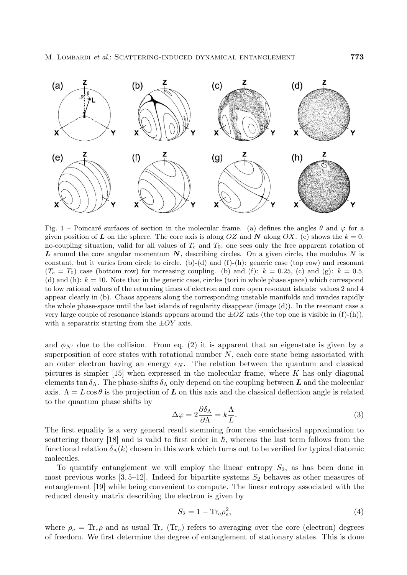

Fig. 1 – Poincaré surfaces of section in the molecular frame. (a) defines the angles  $\theta$  and  $\varphi$  for a given position of **L** on the sphere. The core axis is along  $OZ$  and **N** along  $OX$ . (e) shows the  $k = 0$ , no-coupling situation, valid for all values of  $T_e$  and  $T_0$ ; one sees only the free apparent rotation of *L* around the core angular momentum *N*, describing circles. On a given circle, the modulus N is constant, but it varies from circle to circle. (b)-(d) and (f)-(h): generic case (top row) and resonant  $(T_e = T_0)$  case (bottom row) for increasing coupling. (b) and (f):  $k = 0.25$ , (c) and (g):  $k = 0.5$ , (d) and (h):  $k = 10$ . Note that in the generic case, circles (tori in whole phase space) which correspond to low rational values of the returning times of electron and core open resonant islands: values 2 and 4 appear clearlyin (b). Chaos appears along the corresponding unstable manifolds and invades rapidly the whole phase-space until the last islands of regularitydisappear (image (d)). In the resonant case a very large couple of resonance islands appears around the  $\pm OZ$  axis (the top one is visible in (f)-(h)), with a separatrix starting from the  $\pm OY$  axis.

and  $\phi_{N'}$  due to the collision. From eq. (2) it is apparent that an eigenstate is given by a superposition of core states with rotational number  $N$ , each core state being associated with an outer electron having an energy  $\epsilon_N$ . The relation between the quantum and classical pictures is simpler  $[15]$  when expressed in the molecular frame, where K has only diagonal elements tan  $\delta_{\Lambda}$ . The phase-shifts  $\delta_{\Lambda}$  only depend on the coupling between **L** and the molecular axis.  $\Lambda = L \cos \theta$  is the projection of **L** on this axis and the classical deflection angle is related to the quantum phase shifts by

$$
\Delta \varphi = 2 \frac{\partial \delta_{\Lambda}}{\partial \Lambda} = k \frac{\Lambda}{L}.
$$
\n(3)

The first equality is a very general result stemming from the semiclassical approximation to scattering theory [18] and is valid to first order in  $\hbar$ , whereas the last term follows from the functional relation  $\delta_{\Lambda}(k)$  chosen in this work which turns out to be verified for typical diatomic molecules.

To quantify entanglement we will employ the linear entropy  $S_2$ , as has been done in most previous works  $[3, 5-12]$ . Indeed for bipartite systems  $S_2$  behaves as other measures of entanglement [19] while being convenient to compute. The linear entropy associated with the reduced density matrix describing the electron is given by

$$
S_2 = 1 - \text{Tr}_e \rho_e^2,\tag{4}
$$

where  $\rho_e = \text{Tr}_c \rho$  and as usual  $\text{Tr}_c (\text{Tr}_e)$  refers to averaging over the core (electron) degrees of freedom. We first determine the degree of entanglement of stationary states. This is done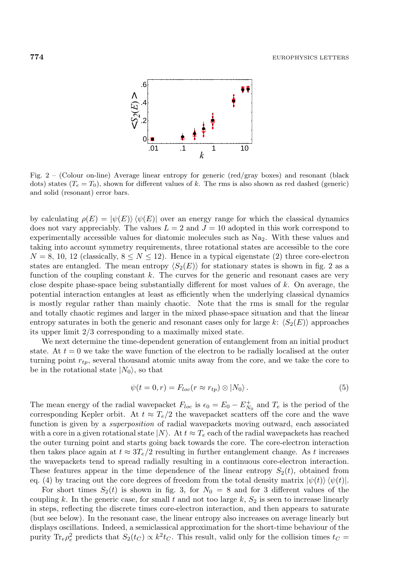

Fig.  $2$  – (Colour on-line) Average linear entropy for generic (red/gray boxes) and resonant (black dots) states  $(T_e = T_0)$ , shown for different values of k. The rms is also shown as red dashed (generic) and solid (resonant) error bars.

by calculating  $\rho(E) = |\psi(E)\rangle \langle \psi(E)|$  over an energy range for which the classical dynamics does not vary appreciably. The values  $L = 2$  and  $J = 10$  adopted in this work correspond to experimentally accessible values for diatomic molecules such as Na2. With these values and taking into account symmetry requirements, three rotational states are accessible to the core  $N = 8, 10, 12$  (classically,  $8 \leq N \leq 12$ ). Hence in a typical eigenstate (2) three core-electron states are entangled. The mean entropy  $\langle S_2(E) \rangle$  for stationary states is shown in fig. 2 as a function of the coupling constant  $k$ . The curves for the generic and resonant cases are very close despite phase-space being substantially different for most values of  $k$ . On average, the potential interaction entangles at least as efficiently when the underlying classical dynamics is mostly regular rather than mainly chaotic. Note that the rms is small for the regular and totally chaotic regimes and larger in the mixed phase-space situation and that the linear entropy saturates in both the generic and resonant cases only for large k:  $\langle S_2(E) \rangle$  approaches its upper limit 2/3corresponding to a maximally mixed state.

We next determine the time-dependent generation of entanglement from an initial product state. At  $t = 0$  we take the wave function of the electron to be radially localised at the outer turning point  $r_{tp}$ , several thousand atomic units away from the core, and we take the core to be in the rotational state  $|N_0\rangle$ , so that

$$
\psi(t=0,r) = F_{loc}(r \approx r_{tp}) \otimes |N_0\rangle.
$$
\n(5)

The mean energy of the radial wavepacket  $F_{loc}$  is  $\epsilon_0 = E_0 - E_{N_0}^+$  and  $T_e$  is the period of the corresponding Kepler orbit. At  $t \approx T_e/2$  the wavepacket scatters off the core and the wave function is given by a *superposition* of radial wavepackets moving outward, each associated with a core in a given rotational state  $|N\rangle$ . At  $t \approx T_e$  each of the radial wavepackets has reached the outer turning point and starts going back towards the core. The core-electron interaction then takes place again at  $t \approx 3T_e/2$  resulting in further entanglement change. As t increases the wavepackets tend to spread radially resulting in a continuous core-electron interaction. These features appear in the time dependence of the linear entropy  $S_2(t)$ , obtained from eq. (4) by tracing out the core degrees of freedom from the total density matrix  $|\psi(t)\rangle\langle\psi(t)|$ .

For short times  $S_2(t)$  is shown in fig. 3, for  $N_0 = 8$  and for 3 different values of the coupling k. In the generic case, for small t and not too large  $k$ ,  $S_2$  is seen to increase linearly in steps, reflecting the discrete times core-electron interaction, and then appears to saturate (but see below). In the resonant case, the linear entropy also increases on average linearly but displays oscillations. Indeed, a semiclassical approximation for the short-time behaviour of the purity  $\text{Tr}_e \rho_e^2$  predicts that  $S_2(t_C) \propto k^2 t_C$ . This result, valid only for the collision times  $t_C =$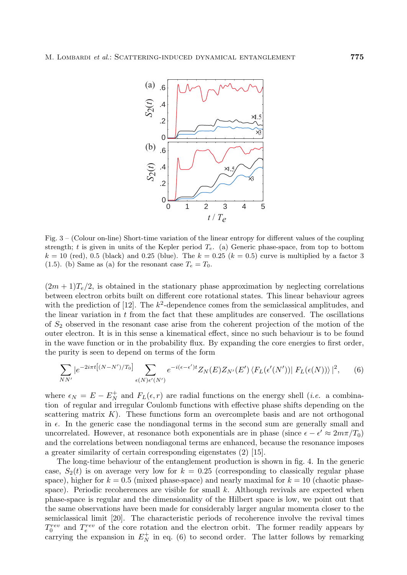

Fig.  $3 -$  (Colour on-line) Short-time variation of the linear entropy for different values of the coupling strength; t is given in units of the Kepler period T*e*. (a) Generic phase-space, from top to bottom  $k = 10$  (red), 0.5 (black) and 0.25 (blue). The  $k = 0.25$  ( $k = 0.5$ ) curve is multiplied by a factor 3 (1.5). (b) Same as (a) for the resonant case  $T_e = T_0$ .

 $(2m+1)T_e/2$ , is obtained in the stationary phase approximation by neglecting correlations between electron orbits built on different core rotational states. This linear behaviour agrees with the prediction of [12]. The  $k^2$ -dependence comes from the semiclassical amplitudes, and the linear variation in t from the fact that these amplitudes are conserved. The oscillations of  $S_2$  observed in the resonant case arise from the coherent projection of the motion of the outer electron. It is in this sense a kinematical effect, since no such behaviour is to be found in the wave function or in the probability flux. By expanding the core energies to first order, the purity is seen to depend on terms of the form

$$
\sum_{NN'} |e^{-2i\pi t \left[(N-N')/T_0\right]} \sum_{\epsilon(N)\epsilon'(N')} e^{-i(\epsilon-\epsilon')t} Z_N(E) Z_{N'}(E') \langle F_L(\epsilon'(N'))| F_L(\epsilon(N))\rangle|^2, \qquad (6)
$$

where  $\epsilon_N = E - E_N^+$  and  $F_L(\epsilon, r)$  are radial functions on the energy shell (*i.e.* a combination of regular and irregular Coulomb functions with effective phase shifts depending on the scattering matrix  $K$ ). These functions form an overcomplete basis and are not orthogonal in  $\epsilon$ . In the generic case the nondiagonal terms in the second sum are generally small and uncorrelated. However, at resonance both exponentials are in phase (since  $\epsilon - \epsilon' \approx 2m\pi/T_0$ ) and the correlations between nondiagonal terms are enhanced, because the resonance imposes a greater similarity of certain corresponding eigenstates (2) [15].

The long-time behaviour of the entanglement production is shown in fig. 4. In the generic case,  $S_2(t)$  is on average very low for  $k = 0.25$  (corresponding to classically regular phase space), higher for  $k = 0.5$  (mixed phase-space) and nearly maximal for  $k = 10$  (chaotic phasespace). Periodic recoherences are visible for small  $k$ . Although revivals are expected when phase-space is regular and the dimensionality of the Hilbert space is low, we point out that the same observations have been made for considerably larger angular momenta closer to the semiclassical limit [20]. The characteristic periods of recoherence involve the revival times  $T_0^{rev}$  and  $T_e^{rev}$  of the core rotation and the electron orbit. The former readily appears by carrying the expansion in  $E_N^+$  in eq. (6) to second order. The latter follows by remarking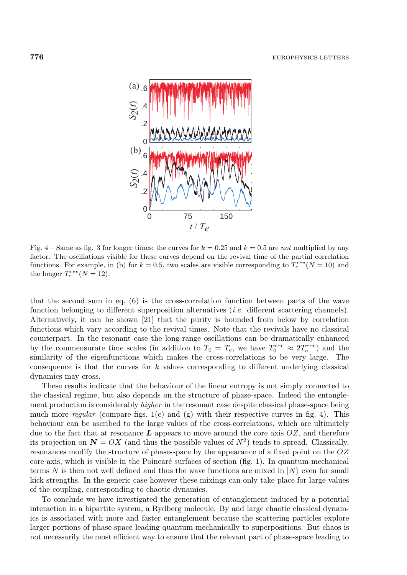

Fig.  $4$  – Same as fig. 3 for longer times; the curves for  $k = 0.25$  and  $k = 0.5$  are *not* multiplied by any factor. The oscillations visible for these curves depend on the revival time of the partial correlation functions. For example, in (b) for  $k = 0.5$ , two scales are visible corresponding to  $T_e^{rev}(N = 10)$  and the longer  $T_e^{rev}(N=12)$ .

that the second sum in eq. (6) is the cross-correlation function between parts of the wave function belonging to different superposition alternatives (*i.e.* different scattering channels). Alternatively, it can be shown [21] that the purity is bounded from below by correlation functions which vary according to the revival times. Note that the revivals have no classical counterpart. In the resonant case the long-range oscillations can be dramatically enhanced by the commensurate time scales (in addition to  $T_0 = T_e$ , we have  $T_0^{rev} \approx 2T_e^{rev}$ ) and the similarity of the eigenfunctions which makes the cross-correlations to be very large. The consequence is that the curves for  $k$  values corresponding to different underlying classical dynamics may cross.

These results indicate that the behaviour of the linear entropy is not simply connected to the classical regime, but also depends on the structure of phase-space. Indeed the entanglement production is considerably *higher* in the resonant case despite classical phase-space being much more *regular* (compare figs. 1(c) and (g) with their respective curves in fig. 4). This behaviour can be ascribed to the large values of the cross-correlations, which are ultimately due to the fact that at resonance  $\boldsymbol{L}$  appears to move around the core axis  $OZ$ , and therefore its projection on  $N = OX$  (and thus the possible values of  $N^2$ ) tends to spread. Classically, resonances modify the structure of phase-space by the appearance of a fixed point on the OZ core axis, which is visible in the Poincaré surfaces of section  $(f_1g, 1)$ . In quantum-mechanical terms N is then not well defined and thus the wave functions are mixed in  $|N\rangle$  even for small kick strengths. In the generic case however these mixings can only take place for large values of the coupling, corresponding to chaotic dynamics.

To conclude we have investigated the generation of entanglement induced by a potential interaction in a bipartite system, a Rydberg molecule. By and large chaotic classical dynamics is associated with more and faster entanglement because the scattering particles explore larger portions of phase-space leading quantum-mechanically to superpositions. But chaos is not necessarily the most efficient way to ensure that the relevant part of phase-space leading to